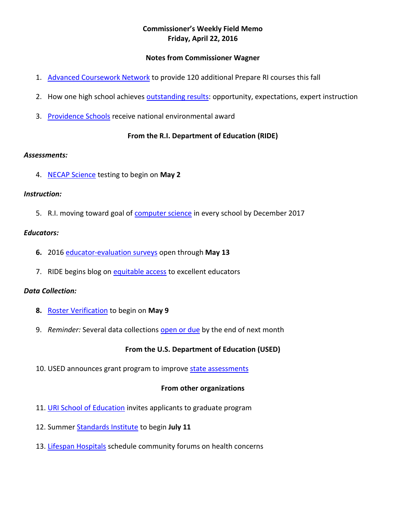## **Commissioner's Weekly Field Memo Friday, April 22, 2016**

#### **Notes from Commissioner Wagner**

- 1. [Advanced Coursework Network](#page-1-0) to provide 120 additional Prepare RI courses this fall
- 2. How one high school achieves [outstanding results:](#page-1-0) opportunity, expectations, expert instruction
- 3. [Providence Schools](#page-2-0) receive national environmental award

#### **From the R.I. Department of Education (RIDE)**

#### *Assessments:*

4. [NECAP Science](#page-2-1) testing to begin on **May 2**

#### *Instruction:*

5. R.I. moving toward goal of [computer science](#page-2-2) in every school by December 2017

#### *Educators:*

- **6.** 2016 [educator-evaluation surveys](#page-3-0) open through **May 13**
- 7. RIDE begins blog on [equitable access](#page-3-0) to excellent educators

#### *Data Collection:*

- **8.** [Roster Verification](#page-4-0) to begin on **May 9**
- 9. *Reminder:* Several data collections [open or due](#page-4-1) by the end of next month

### **From the U.S. Department of Education (USED)**

10. USED announces grant program to improve [state assessments](#page-5-0)

#### **From other organizations**

- 11. [URI School of Education](#page-5-1) invites applicants to graduate program
- 12. Summer [Standards Institute](#page-5-2) to begin **July 11**
- 13. [Lifespan Hospitals](#page-5-2) schedule community forums on health concerns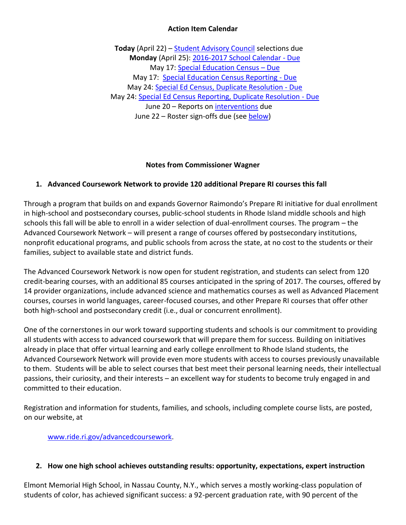### **Action Item Calendar**

**Today** (April 22) – [Student Advisory Council](http://ride.ri.gov/Portals/0/Uploads/Documents/FieldMemos/031816-FM.pdf) selections due **Monday** (April 25): [2016-2017 School Calendar -](https://www.eride.ri.gov/eRide40/DataDictionary/ViewDetails.aspx?ID=307) Due May 17: [Special Education Census](https://www.eride.ri.gov/eRide40/DataDictionary/ViewDetails.aspx?ID=311) – Due May 17[: Special Education Census Reporting -](https://www.eride.ri.gov/eRide40/DataDictionary/ViewDetails.aspx?ID=310) Due May 24: [Special Ed Census, Duplicate Resolution -](https://www.eride.ri.gov/eRide40/DataDictionary/ViewDetails.aspx?ID=310) Due May 24: [Special Ed Census Reporting, Duplicate Resolution -](https://www.eride.ri.gov/eRide40/DataDictionary/ViewDetails.aspx?ID=311) Due June 20 – Reports on [interventions](http://ride.ri.gov/Portals/0/Uploads/Documents/FieldMemos/031816-FM.pdf) due June 22 – Roster sign-offs due (see [below\)](#page-4-0)

### **Notes from Commissioner Wagner**

## <span id="page-1-0"></span>**1. Advanced Coursework Network to provide 120 additional Prepare RI courses this fall**

Through a program that builds on and expands Governor Raimondo's Prepare RI initiative for dual enrollment in high-school and postsecondary courses, public-school students in Rhode Island middle schools and high schools this fall will be able to enroll in a wider selection of dual-enrollment courses. The program – the Advanced Coursework Network – will present a range of courses offered by postsecondary institutions, nonprofit educational programs, and public schools from across the state, at no cost to the students or their families, subject to available state and district funds.

The Advanced Coursework Network is now open for student registration, and students can select from 120 credit-bearing courses, with an additional 85 courses anticipated in the spring of 2017. The courses, offered by 14 provider organizations, include advanced science and mathematics courses as well as Advanced Placement courses, courses in world languages, career-focused courses, and other Prepare RI courses that offer other both high-school and postsecondary credit (i.e., dual or concurrent enrollment).

One of the cornerstones in our work toward supporting students and schools is our commitment to providing all students with access to advanced coursework that will prepare them for success. Building on initiatives already in place that offer virtual learning and early college enrollment to Rhode Island students, the Advanced Coursework Network will provide even more students with access to courses previously unavailable to them. Students will be able to select courses that best meet their personal learning needs, their intellectual passions, their curiosity, and their interests – an excellent way for students to become truly engaged in and committed to their education.

Registration and information for students, families, and schools, including complete course lists, are posted, on our website, at

[www.ride.ri.gov/advancedcoursework.](http://www.ride.ri.gov/advancedcoursework)

#### **2. How one high school achieves outstanding results: opportunity, expectations, expert instruction**

Elmont Memorial High School, in Nassau County, N.Y., which serves a mostly working-class population of students of color, has achieved significant success: a 92-percent graduation rate, with 90 percent of the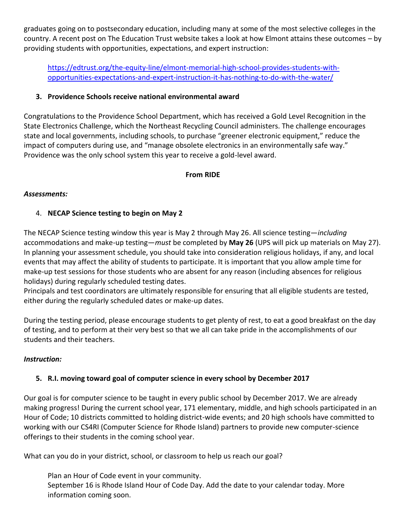graduates going on to postsecondary education, including many at some of the most selective colleges in the country. A recent post on The Education Trust website takes a look at how Elmont attains these outcomes – by providing students with opportunities, expectations, and expert instruction:

[https://edtrust.org/the-equity-line/elmont-memorial-high-school-provides-students-with](https://edtrust.org/the-equity-line/elmont-memorial-high-school-provides-students-with-opportunities-expectations-and-expert-instruction-it-has-nothing-to-do-with-the-water/)[opportunities-expectations-and-expert-instruction-it-has-nothing-to-do-with-the-water/](https://edtrust.org/the-equity-line/elmont-memorial-high-school-provides-students-with-opportunities-expectations-and-expert-instruction-it-has-nothing-to-do-with-the-water/)

## <span id="page-2-0"></span>**3. Providence Schools receive national environmental award**

Congratulations to the Providence School Department, which has received a Gold Level Recognition in the State Electronics Challenge, which the Northeast Recycling Council administers. The challenge encourages state and local governments, including schools, to purchase "greener electronic equipment," reduce the impact of computers during use, and "manage obsolete electronics in an environmentally safe way." Providence was the only school system this year to receive a gold-level award.

## **From RIDE**

### *Assessments:*

# <span id="page-2-1"></span>4. **NECAP Science testing to begin on May 2**

The NECAP Science testing window this year is May 2 through May 26. All science testing—*including* accommodations and make-up testing—*must* be completed by **May 26** (UPS will pick up materials on May 27). In planning your assessment schedule, you should take into consideration religious holidays, if any, and local events that may affect the ability of students to participate. It is important that you allow ample time for make-up test sessions for those students who are absent for any reason (including absences for religious holidays) during regularly scheduled testing dates.

Principals and test coordinators are ultimately responsible for ensuring that all eligible students are tested, either during the regularly scheduled dates or make-up dates.

During the testing period, please encourage students to get plenty of rest, to eat a good breakfast on the day of testing, and to perform at their very best so that we all can take pride in the accomplishments of our students and their teachers.

### *Instruction:*

# <span id="page-2-2"></span>**5. R.I. moving toward goal of computer science in every school by December 2017**

Our goal is for computer science to be taught in every public school by December 2017. We are already making progress! During the current school year, 171 elementary, middle, and high schools participated in an Hour of Code; 10 districts committed to holding district-wide events; and 20 high schools have committed to working with our CS4RI (Computer Science for Rhode Island) partners to provide new computer-science offerings to their students in the coming school year.

What can you do in your district, school, or classroom to help us reach our goal?

Plan an Hour of Code event in your community. September 16 is Rhode Island Hour of Code Day. Add the date to your calendar today. More information coming soon.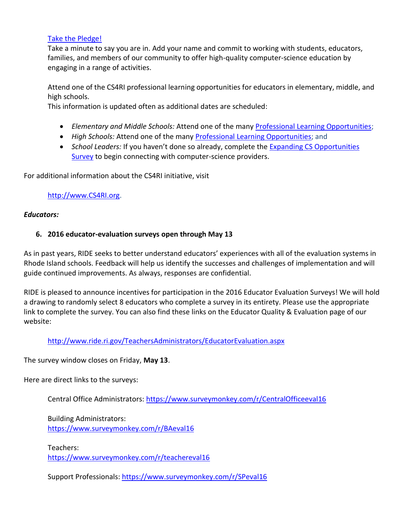#### [Take the Pledge!](https://docs.google.com/a/ride.ri.gov/forms/d/12-r_4h-uKRRukZmmFcI0ZksfI1XJre6hfh-oACrcpPI/viewform?c=0&w=1)

Take a minute to say you are in. Add your name and commit to working with students, educators, families, and members of our community to offer high-quality computer-science education by engaging in a range of activities.

Attend one of the CS4RI professional learning opportunities for educators in elementary, middle, and high schools.

This information is updated often as additional dates are scheduled:

- *Elementary and Middle Schools:* Attend one of the many [Professional Learning Opportunities;](https://docs.google.com/document/d/17jl0bd9uLG5U3vKWAZb8CyucEj5jvOtAcncg0WJEzwg/edit?usp=sharing)
- *High Schools:* Attend one of the many [Professional Learning Opportunities;](https://docs.google.com/document/d/1SS4F6_sHaJECP07PZG5B7gJfax6zRJTMafMnpJYTBm4/edit?usp=sharing) and
- *School Leaders:* If you haven't done so already, complete the [Expanding CS Opportunities](https://docs.google.com/forms/d/1Fumt4TwLwinDdw6-kEPsJAIRVNXbXBjN_EfW7o38_IU/viewform?edit_requested=true)  [Survey](https://docs.google.com/forms/d/1Fumt4TwLwinDdw6-kEPsJAIRVNXbXBjN_EfW7o38_IU/viewform?edit_requested=true) to begin connecting with computer-science providers.

For additional information about the CS4RI initiative, visit

### [http://www.CS4RI.org.](http://www.cs4ri.org/)

### *Educators:*

### <span id="page-3-0"></span>**6. 2016 educator-evaluation surveys open through May 13**

As in past years, RIDE seeks to better understand educators' experiences with all of the evaluation systems in Rhode Island schools. Feedback will help us identify the successes and challenges of implementation and will guide continued improvements. As always, responses are confidential.

RIDE is pleased to announce incentives for participation in the 2016 Educator Evaluation Surveys! We will hold a drawing to randomly select 8 educators who complete a survey in its entirety. Please use the appropriate link to complete the survey. You can also find these links on the Educator Quality & Evaluation page of our website:

### <http://www.ride.ri.gov/TeachersAdministrators/EducatorEvaluation.aspx>

The survey window closes on Friday, **May 13**.

Here are direct links to the surveys:

Central Office Administrators:<https://www.surveymonkey.com/r/CentralOfficeeval16>

Building Administrators: <https://www.surveymonkey.com/r/BAeval16>

Teachers: <https://www.surveymonkey.com/r/teachereval16>

Support Professionals:<https://www.surveymonkey.com/r/SPeval16>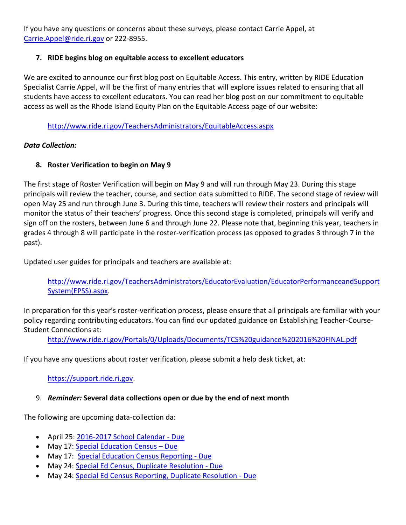If you have any questions or concerns about these surveys, please contact Carrie Appel, at [Carrie.Appel@ride.ri.gov](mailto:Carrie.Appel@ride.ri.gov) or 222-8955.

## **7. RIDE begins blog on equitable access to excellent educators**

We are excited to announce our first blog post on Equitable Access. This entry, written by RIDE Education Specialist Carrie Appel, will be the first of many entries that will explore issues related to ensuring that all students have access to excellent educators. You can read her blog post on our commitment to equitable access as well as the Rhode Island Equity Plan on the Equitable Access page of our website:

<http://www.ride.ri.gov/TeachersAdministrators/EquitableAccess.aspx>

## *Data Collection:*

# <span id="page-4-0"></span>**8. Roster Verification to begin on May 9**

The first stage of Roster Verification will begin on May 9 and will run through May 23. During this stage principals will review the teacher, course, and section data submitted to RIDE. The second stage of review will open May 25 and run through June 3. During this time, teachers will review their rosters and principals will monitor the status of their teachers' progress. Once this second stage is completed, principals will verify and sign off on the rosters, between June 6 and through June 22. Please note that, beginning this year, teachers in grades 4 through 8 will participate in the roster-verification process (as opposed to grades 3 through 7 in the past).

Updated user guides for principals and teachers are available at:

[http://www.ride.ri.gov/TeachersAdministrators/EducatorEvaluation/EducatorPerformanceandSupport](http://www.ride.ri.gov/TeachersAdministrators/EducatorEvaluation/EducatorPerformanceandSupportSystem(EPSS).aspx) [System\(EPSS\).aspx.](http://www.ride.ri.gov/TeachersAdministrators/EducatorEvaluation/EducatorPerformanceandSupportSystem(EPSS).aspx)

In preparation for this year's roster-verification process, please ensure that all principals are familiar with your policy regarding contributing educators. You can find our updated guidance on Establishing Teacher-Course-Student Connections at:

<http://www.ride.ri.gov/Portals/0/Uploads/Documents/TCS%20guidance%202016%20FINAL.pdf>

If you have any questions about roster verification, please submit a help desk ticket, at:

[https://support.ride.ri.gov.](https://support.ride.ri.gov/)

# <span id="page-4-1"></span>9. *Reminder:* **Several data collections open or due by the end of next month**

The following are upcoming data-collection da:

- April 25[: 2016-2017 School Calendar -](https://www.eride.ri.gov/eRide40/DataDictionary/ViewDetails.aspx?ID=307) Due
- May 17: [Special Education Census](https://www.eride.ri.gov/eRide40/DataDictionary/ViewDetails.aspx?ID=311)  Due
- May 17: [Special Education Census Reporting -](https://www.eride.ri.gov/eRide40/DataDictionary/ViewDetails.aspx?ID=310) Due
- May 24: [Special Ed Census, Duplicate Resolution -](https://www.eride.ri.gov/eRide40/DataDictionary/ViewDetails.aspx?ID=310) Due
- May 24: [Special Ed Census Reporting, Duplicate Resolution -](https://www.eride.ri.gov/eRide40/DataDictionary/ViewDetails.aspx?ID=311) Due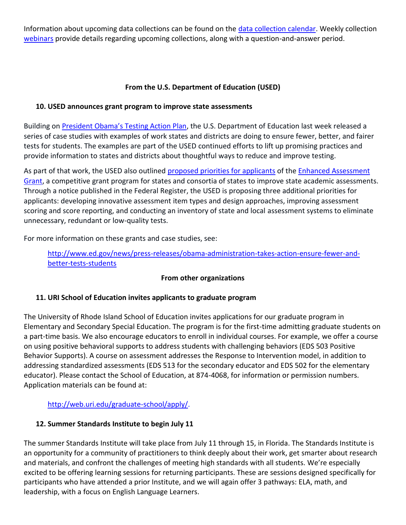Information about upcoming data collections can be found on the [data collection calendar.](https://www.eride.ri.gov/eRide40/DataDictionary/Calendar.aspx) Weekly collection [webinars](https://attendee.gotowebinar.com/register/1244693710129866241) provide details regarding upcoming collections, along with a question-and-answer period.

## **From the U.S. Department of Education (USED)**

## <span id="page-5-0"></span>**10. USED announces grant program to improve state assessments**

Building on [President Obama's Testing Action Plan](https://www.whitehouse.gov/blog/2015/10/26/open-letter-americas-parents-and-teachers-lets-make-our-testing-smarter), the U.S. Department of Education last week released a series of case studies with examples of work states and districts are doing to ensure fewer, better, and fairer tests for students. The examples are part of the USED continued efforts to lift up promising practices and provide information to states and districts about thoughtful ways to reduce and improve testing.

As part of that work, the USED also outlined [proposed priorities for applicants](https://www.federalregister.gov/articles/2016/04/18/2016-08726/proposed-priorities-enhanced-assessment-instruments) of the Enhanced Assessment [Grant,](http://www2.ed.gov/programs/eag/index.html) a competitive grant program for states and consortia of states to improve state academic assessments. Through a notice published in the Federal Register, the USED is proposing three additional priorities for applicants: developing innovative assessment item types and design approaches, improving assessment scoring and score reporting, and conducting an inventory of state and local assessment systems to eliminate unnecessary, redundant or low-quality tests.

For more information on these grants and case studies, see:

[http://www.ed.gov/news/press-releases/obama-administration-takes-action-ensure-fewer-and](http://www.ed.gov/news/press-releases/obama-administration-takes-action-ensure-fewer-and-better-tests-students)[better-tests-students](http://www.ed.gov/news/press-releases/obama-administration-takes-action-ensure-fewer-and-better-tests-students)

### **From other organizations**

# <span id="page-5-1"></span>**11. URI School of Education invites applicants to graduate program**

The University of Rhode Island School of Education invites applications for our graduate program in Elementary and Secondary Special Education. The program is for the first-time admitting graduate students on a part-time basis. We also encourage educators to enroll in individual courses. For example, we offer a course on using positive behavioral supports to address students with challenging behaviors (EDS 503 Positive Behavior Supports). A course on assessment addresses the Response to Intervention model, in addition to addressing standardized assessments (EDS 513 for the secondary educator and EDS 502 for the elementary educator). Please contact the School of Education, at 874-4068, for information or permission numbers. Application materials can be found at:

[http://web.uri.edu/graduate-school/apply/.](http://web.uri.edu/graduate-school/apply/)

# <span id="page-5-2"></span>**12. Summer Standards Institute to begin July 11**

The summer Standards Institute will take place from July 11 through 15, in Florida. The Standards Institute is an opportunity for a community of practitioners to think deeply about their work, get smarter about research and materials, and confront the challenges of meeting high standards with all students. We're especially excited to be offering learning sessions for returning participants. These are sessions designed specifically for participants who have attended a prior Institute, and we will again offer 3 pathways: ELA, math, and leadership, with a focus on English Language Learners.